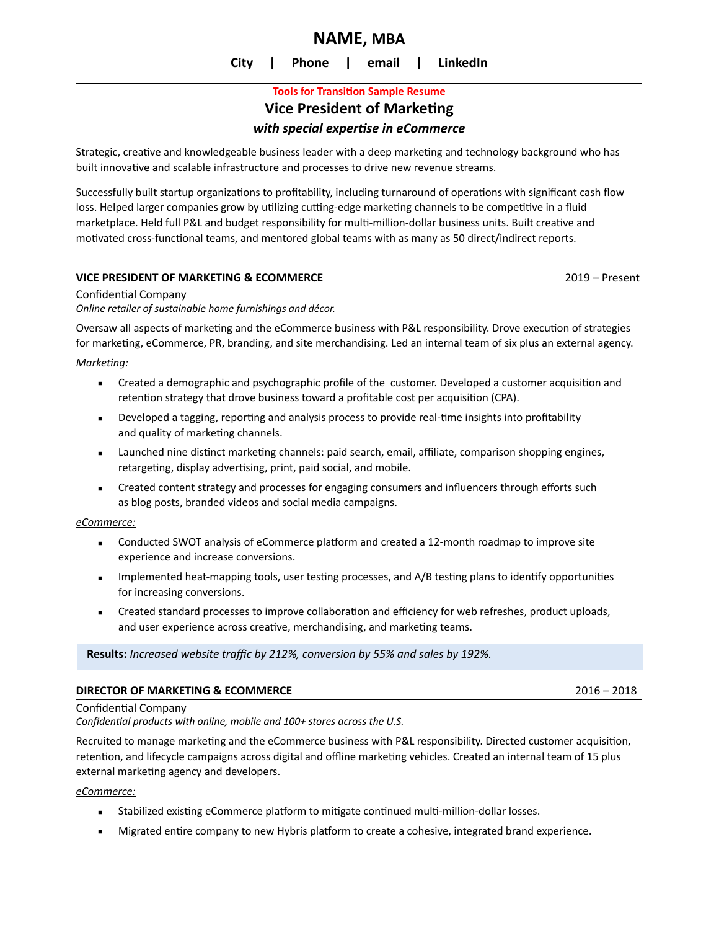# **NAME, MBA**

**City | Phone | email | LinkedIn**

# **Tools for Transition Sample Resume Vice President of Marketing** *with special expertise in eCommerce*

Strategic, creative and knowledgeable business leader with a deep marketing and technology background who has built innovative and scalable infrastructure and processes to drive new revenue streams.

Successfully built startup organizations to profitability, including turnaround of operations with significant cash flow loss. Helped larger companies grow by utilizing cutting-edge marketing channels to be competitive in a fluid marketplace. Held full P&L and budget responsibility for multi-million-dollar business units. Built creative and motivated cross-functional teams, and mentored global teams with as many as 50 direct/indirect reports.

#### **VICE PRESIDENT OF MARKETING & ECOMMERCE** 2019 – Present

Confidential Company

*Online retailer of sustainable home furnishings and décor.* 

Oversaw all aspects of marketing and the eCommerce business with P&L responsibility. Drove execution of strategies for marketing, eCommerce, PR, branding, and site merchandising. Led an internal team of six plus an external agency.

*Marketing:* 

- **EXECT** Created a demographic and psychographic profile of the customer. Developed a customer acquisition and retention strategy that drove business toward a profitable cost per acquisition (CPA).
- Developed a tagging, reporting and analysis process to provide real-time insights into profitability and quality of marketing channels.
- Launched nine distinct marketing channels: paid search, email, affiliate, comparison shopping engines, retargeting, display advertising, print, paid social, and mobile.
- Created content strategy and processes for engaging consumers and influencers through efforts such as blog posts, branded videos and social media campaigns.

#### *eCommerce:*

- **EXECOMM** Conducted SWOT analysis of eCommerce platform and created a 12-month roadmap to improve site experience and increase conversions.
- Implemented heat-mapping tools, user testing processes, and A/B testing plans to identify opportunities for increasing conversions.
- **EXECTED STANDART STANDART STANDART STANDART STANDART STANDART STANDART STANDART STANDART STANDART STANDART STANDART STANDART STANDART STANDART STANDART STANDART STANDART STANDART STANDART STANDART STANDART STANDART STANDA** and user experience across creative, merchandising, and marketing teams.

**Results:** *Increased website traffic by 212%, conversion by 55% and sales by 192%.*

#### **DIRECTOR OF MARKETING & ECOMMERCE** 2016 – 2018

Confidential Company

*Confidential products with online, mobile and 100+ stores across the U.S.* 

Recruited to manage marketing and the eCommerce business with P&L responsibility. Directed customer acquisition, retention, and lifecycle campaigns across digital and offline marketing vehicles. Created an internal team of 15 plus external marketing agency and developers.

#### *eCommerce:*

- Stabilized existing eCommerce platform to mitigate continued multi-million-dollar losses.
- **EXECT** Migrated entire company to new Hybris platform to create a cohesive, integrated brand experience.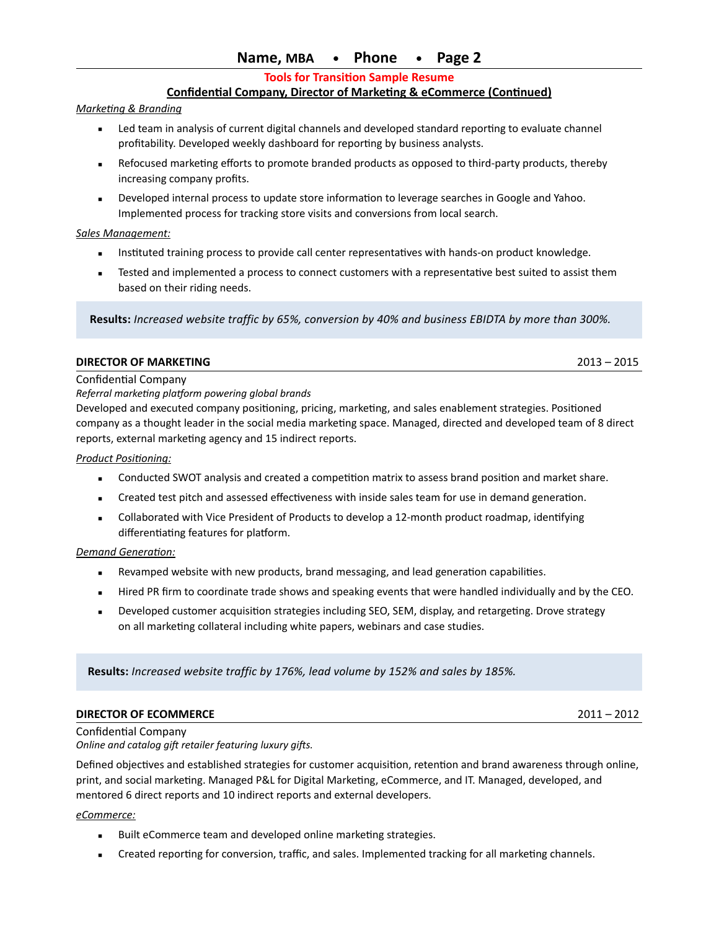## **Name, MBA • Phone • Page 2**

**Tools for Transition Sample Resume**

### **Confidential Company, Director of Marketing & eCommerce (Continued)**

#### *Marketing & Branding*

- Led team in analysis of current digital channels and developed standard reporting to evaluate channel profitability. Developed weekly dashboard for reporting by business analysts.
- Refocused marketing efforts to promote branded products as opposed to third-party products, thereby increasing company profits.
- Developed internal process to update store information to leverage searches in Google and Yahoo. Implemented process for tracking store visits and conversions from local search.

#### *Sales Management:*

- Instituted training process to provide call center representatives with hands-on product knowledge.
- **Examplemented a process to connect customers with a representative best suited to assist them** based on their riding needs.

 **Results:** *Increased website traffic by 65%, conversion by 40% and business EBIDTA by more than 300%.*

#### **DIRECTOR OF MARKETING** 2013 – 2015

#### Confidential Company

*Referral marketing platform powering global brands*

Developed and executed company positioning, pricing, marketing, and sales enablement strategies. Positioned company as a thought leader in the social media marketing space. Managed, directed and developed team of 8 direct reports, external marketing agency and 15 indirect reports.

#### *Product Positioning:*

- Conducted SWOT analysis and created a competition matrix to assess brand position and market share.
- Created test pitch and assessed effectiveness with inside sales team for use in demand generation.
- **EXECOLLA** Collaborated with Vice President of Products to develop a 12-month product roadmap, identifying differentiating features for platform.

#### *Demand Generation:*

- **EXE** Revamped website with new products, brand messaging, and lead generation capabilities.
- **EXECT A** Hired PR firm to coordinate trade shows and speaking events that were handled individually and by the CEO.
- **EXECT** Developed customer acquisition strategies including SEO, SEM, display, and retargeting. Drove strategy on all marketing collateral including white papers, webinars and case studies.

 **Results:** *Increased website traffic by 176%, lead volume by 152% and sales by 185%.* 

#### **DIRECTOR OF ECOMMERCE** 2011 – 2012

Confidential Company *Online and catalog gift retailer featuring luxury gifts.*

Defined objectives and established strategies for customer acquisition, retention and brand awareness through online, print, and social marketing. Managed P&L for Digital Marketing, eCommerce, and IT. Managed, developed, and mentored 6 direct reports and 10 indirect reports and external developers.

#### *eCommerce:*

- Built eCommerce team and developed online marketing strategies.
- Created reporting for conversion, traffic, and sales. Implemented tracking for all marketing channels.